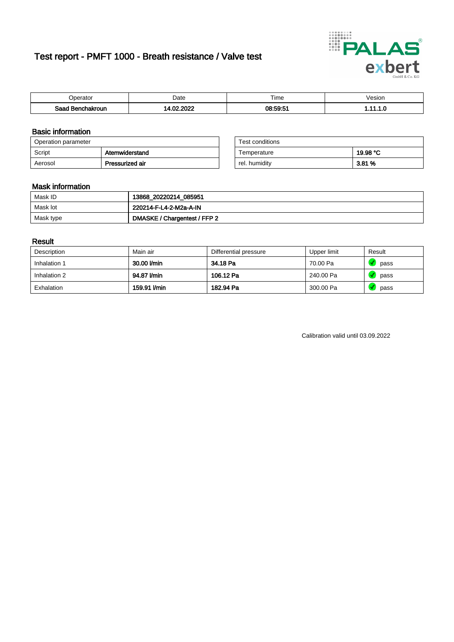# Test report - PMFT 1000 - Breath resistance / Valve test



| )perator               | Date               | $- \cdot$<br>i ime | esion |
|------------------------|--------------------|--------------------|-------|
| המס<br>hakroun<br>32 H | 000<br>$\sim$<br>. | 08:59:51           | .     |

### Basic information

| Operation parameter |                 | Test conditions |          |
|---------------------|-----------------|-----------------|----------|
| Script              | Atemwiderstand  | Temperature     | 19.98 °C |
| Aerosol             | Pressurized air | rel. humiditv   | 3.81 %   |

| Test conditions |          |
|-----------------|----------|
| Temperature     | 19.98 °C |
| rel. humidity   | 3.81 %   |

### Mask information

| Mask ID   | 13868_20220214_085951        |
|-----------|------------------------------|
| Mask lot  | 220214-F-L4-2-M2a-A-IN       |
| Mask type | DMASKE / Chargentest / FFP 2 |

### Result

| Description  | Main air     | Differential pressure | Upper limit | Result |
|--------------|--------------|-----------------------|-------------|--------|
| Inhalation 1 | 30.00 l/min  | 34.18 Pa              | 70.00 Pa    | pass   |
| Inhalation 2 | 94.87 l/min  | 106.12 Pa             | 240.00 Pa   | pass   |
| Exhalation   | 159.91 l/min | 182.94 Pa             | 300.00 Pa   | pass   |

Calibration valid until 03.09.2022